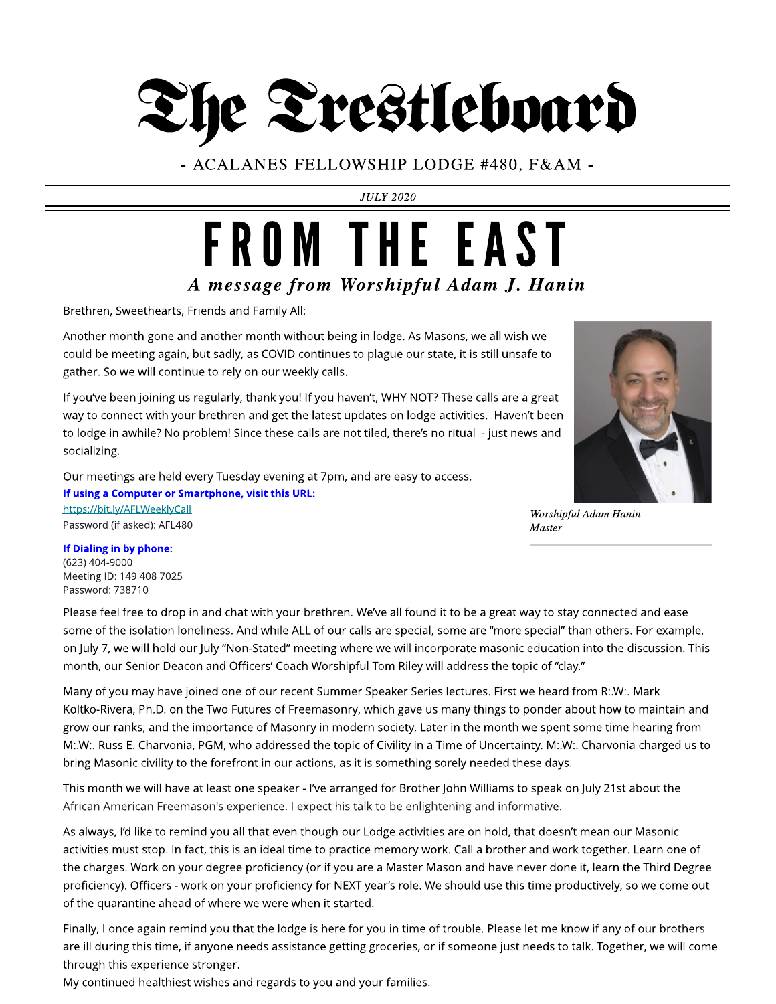# The Trestleboard

- ACALANES FELLOWSHIP LODGE #480, F& AM -

**JULY 2020**

### **A message from Worshipful Adam J. Hanin** FROM THE EAST

Brethren, Sweethearts, Friends and Family All:

Another month gone and another month without being in lodge. As Masons, we all wish we could be meeting again, but sadly, as COVID continues to plague our state, it is still unsafe to gather. So we will continue to rely on our weekly calls.

If you've been joining us regularly, thank you! If you haven't, WHY NOT? These calls are a great way to connect with your brethren and get the latest updates on lodge activities. Haven't been to lodge in awhile? No problem! Since these calls are not tiled, there's no ritual - just news and socializing.

Our meetings are held every Tuesday evening at 7pm, and are easy to access. If using a Computer or Smartphone, visit this URL:

https://bit.ly/AFLWeeklyCall Password (if asked): AFL480



**Worshipful AdamHanin Master**

#### If Dialing in by phone: (623) 404-9000 Meeting ID: 149 408 7025 Password: 738710

Please feel free to drop in and chat with your brethren. We've all found it to be a great way to stay connected and ease some of the isolation loneliness. And while ALL of our calls are special, some are "more special" than others. For example, on July 7, we will hold our July "Non-Stated" meeting where we will incorporate masonic education into the discussion. This month, our Senior Deacon and Officers' Coach Worshipful Tom Riley will address the topic of "clay."

Many of you may have joined one of our recent Summer Speaker Series lectures. First we heard from R:.W:. Mark Koltko-Rivera, Ph.D. on the Two Futures of Freemasonry, which gave us many things to ponder about how to maintain and grow our ranks, and the importance of Masonry in modern society. Later in the month we spent some time hearing from M:.W:. Russ E. Charvonia, PGM, who addressed the topic of Civility in a Time of Uncertainty. M:.W:. Charvonia charged us to bring Masonic civility to the forefront in our actions, as it is something sorely needed these days.

This month we will have at least one speaker - I've arranged for Brother John Williams to speak on July 21st about the African American Freemason's experience. I expect his talk to be enlightening and informative.

As always, I'd like to remind you all that even though our Lodge activities are on hold, that doesn't mean our Masonic activities must stop. In fact, this is an ideal time to practice memory work. Call a brother and work together. Learn one of the charges. Work on your degree proficiency (or if you are a Master Mason and have never done it, learn the Third Degree proficiency). Officers - work on your proficiency for NEXT year's role. We should use this time productively, so we come out of the quarantine ahead of where we were when it started.

Finally, I once again remind you that the lodge is here for you in time of trouble. Please let me know if any of our brothers are ill during this time, if anyone needs assistance getting groceries, or if someone just needs to talk. Together, we will come through this experience stronger.

My continued healthiest wishes and regards to you and your families.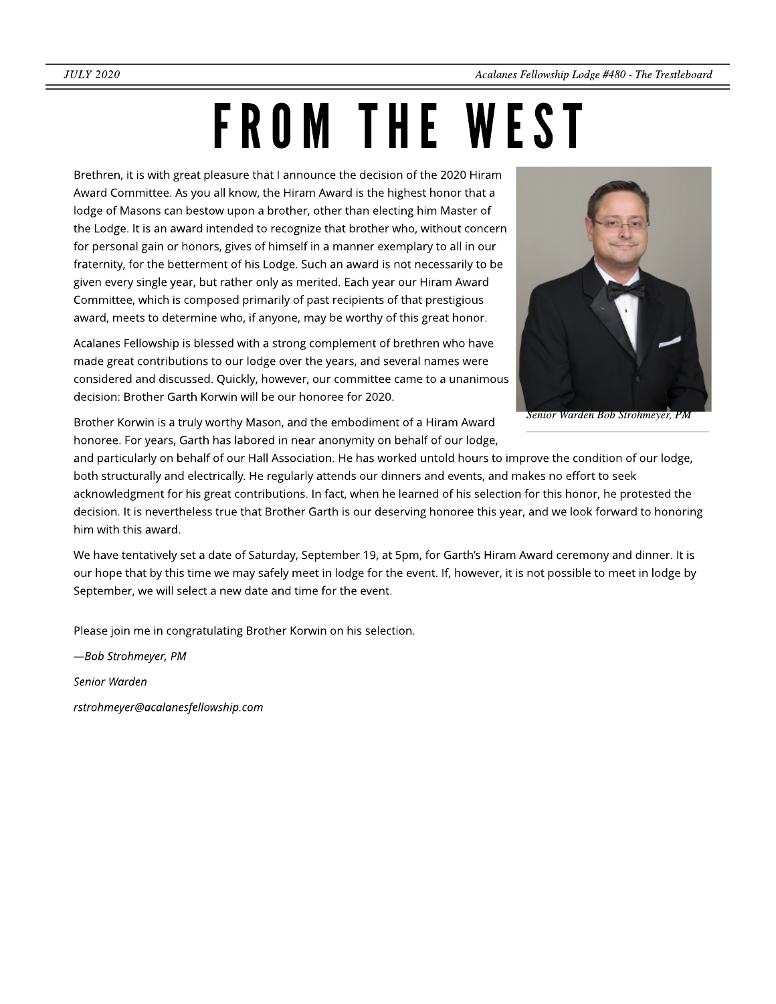# FROM THE WEST

Brethren, it is with great pleasure that I announce the decision of the 2020 Hiram Award Committee. As you all know, the Hiram Award is the highest honor that a lodge of Masons can bestow upon a brother, other than electing him Master of the Lodge. It is an award intended to recognize that brother who, without concern for personal gain or honors, gives of himself in a manner exemplary to all in our fraternity, for the betterment of his Lodge. Such an award is not necessarily to be given every single year, but rather only as merited. Each year our Hiram Award Committee, which is composed primarily of past recipients of that prestigious award, meets to determine who, if anyone, may be worthy of this great honor.

Acalanes Fellowship is blessed with a strong complement of brethren who have made great contributions to our lodge over the years, and several names were considered and discussed. Quickly, however, our committee came to a unanimous decision: Brother Garth Korwin will be our honoree for 2020.



**Senior WardenBobStrohmeyer, PM**

Brother Korwin is a truly worthy Mason, and the embodiment of a Hiram Award honoree. For years, Garth has labored in near anonymity on behalf of our lodge,

and particularly on behalf of our Hall Association. He has worked untold hours to improve the condition of our lodge, both structurally and electrically. He regularly attends our dinners and events, and makes no effort to seek acknowledgment for his great contributions. In fact, when he learned of his selection for this honor, he protested the decision. It is nevertheless true that Brother Garth is our deserving honoree this year, and we look forward to honoring him with this award.

We have tentatively set a date of Saturday, September 19, at 5pm, for Garth's Hiram Award ceremony and dinner. It is our hope that by this time we may safely meet in lodge for the event. If, however, it is not possible to meet in lodge by September, we will select a new date and time for the event.

Please join me in congratulating Brother Korwin on his selection.

**? Bob Strohmeyer, PM**

**Senior Warden**

**rstrohmeyer@acalanesfellowship.com**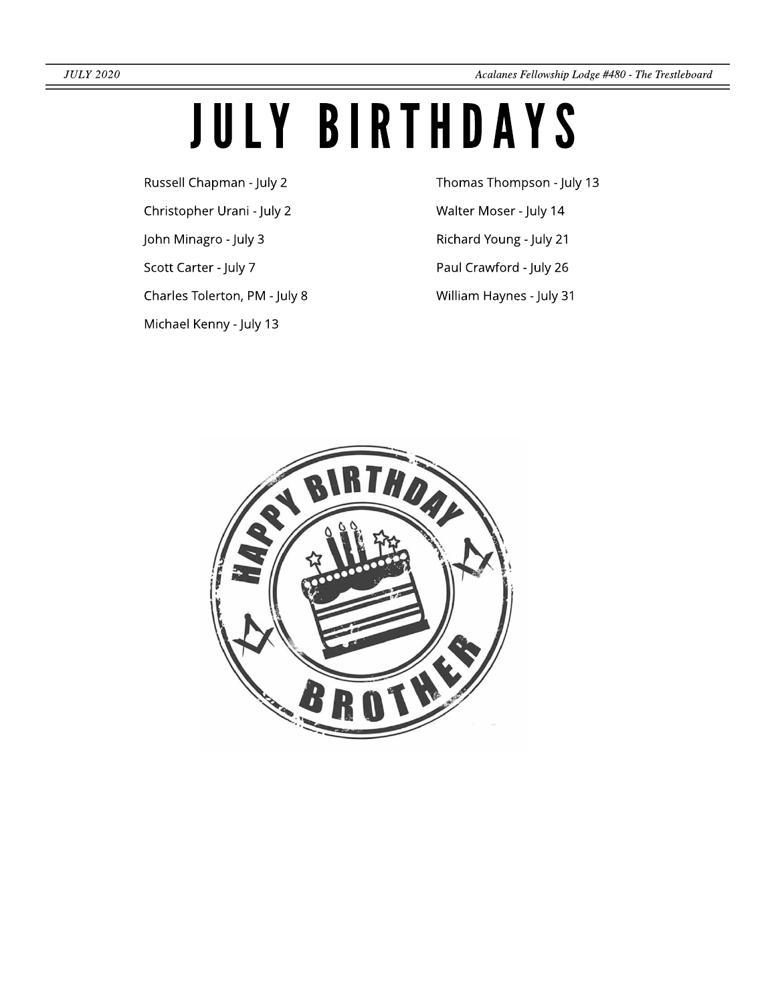## JULY BIRTHDAYS

Russell Chapman - July 2

Christopher Urani - July 2

John Minagro - July 3

Scott Carter - July 7

Charles Tolerton, PM - July 8

Michael Kenny - July 13

Thomas Thompson - July 13 Walter Moser - July 14

Richard Young - July 21

Paul Crawford - July 26

William Haynes - July 31

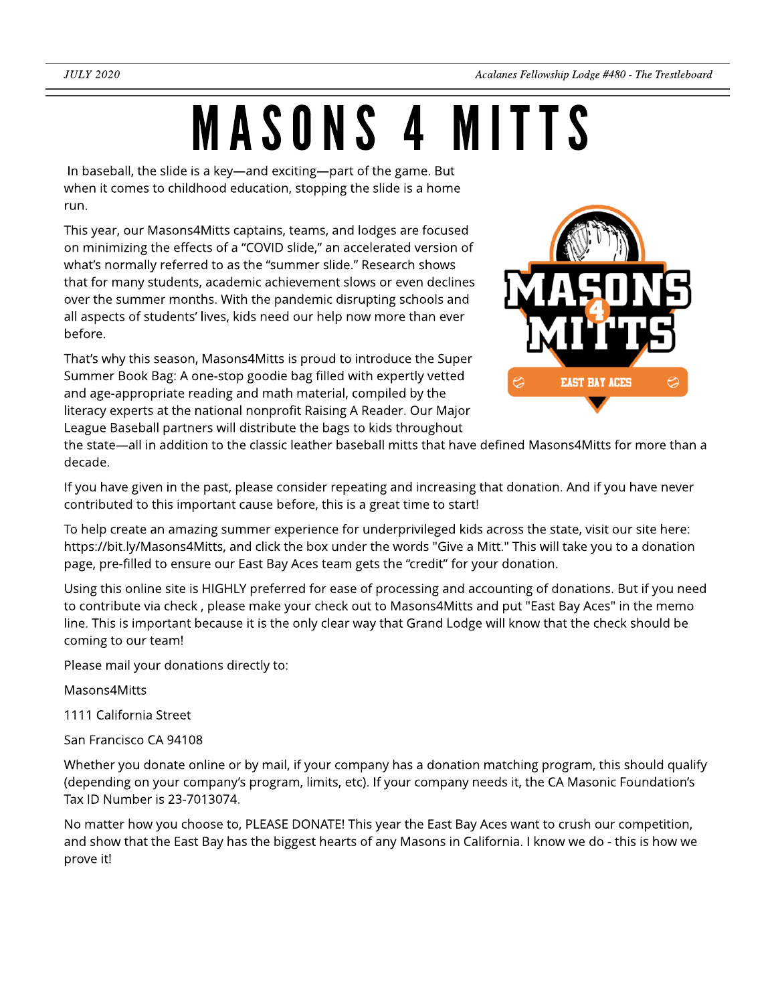## MASONS4 MITTS

In baseball, the slide is a key—and exciting—part of the game. But when it comes to childhood education, stopping the slide is a home run.

This year, our Masons4Mitts captains, teams, and lodges are focused on minimizing the effects of a "COVID slide," an accelerated version of what's normally referred to as the "summer slide." Research shows that for many students, academic achievement slows or even declines over the summer months. With the pandemic disrupting schools and all aspects of students' lives, kids need our help now more than ever before.

That's why this season, Masons4Mitts is proud to introduce the Super Summer Book Bag: A one-stop goodie bag filled with expertly vetted and age-appropriate reading and math material, compiled by the literacy experts at the national nonprofit Raising A Reader. Our Major League Baseball partners will distribute the bags to kids throughout



the state—all in addition to the classic leather baseball mitts that have defined Masons4Mitts for more than a decade.

If you have given in the past, please consider repeating and increasing that donation. And if you have never contributed to this important cause before, this is a great time to start!

To help create an amazing summer experience for underprivileged kids across the state, visit our site here: https://bit.ly/Masons4Mitts, and click the box under the words "Give a Mitt." This will take you to a donation page, pre-filled to ensure our East Bay Aces team gets the "credit" for your donation.

Using this online site is HIGHLY preferred for ease of processing and accounting of donations. But if you need to contribute via check , please make your check out to Masons4Mitts and put "East Bay Aces" in the memo line. This is important because it is the only clear way that Grand Lodge will know that the check should be coming to our team!

Please mail your donations directly to:

Masons4Mitts

1111 California Street

San Francisco CA 94108

Whether you donate online or by mail, if your company has a donation matching program, this should qualify (depending on your company?s program, limits, etc). If your company needs it, the CA Masonic Foundation?s Tax ID Number is 23-7013074.

No matter how you choose to, PLEASE DONATE! This year the East Bay Aces want to crush our competition, and show that the East Bay has the biggest hearts of any Masons in California. I know we do - this is how we prove it!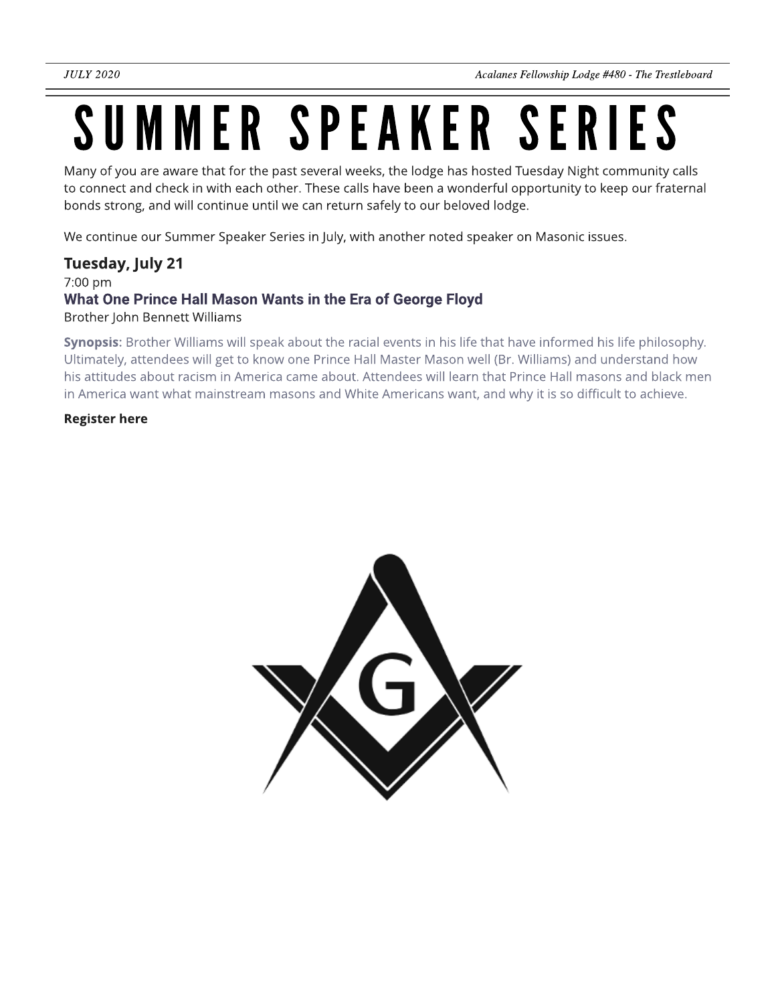## SUMMER SPEAKER SERIES

Many of you are aware that for the past several weeks, the lodge has hosted Tuesday Night community calls to connect and check in with each other. These calls have been a wonderful opportunity to keep our fraternal bonds strong, and will continue until we can return safely to our beloved lodge.

We continue our Summer Speaker Series in July, with another noted speaker on Masonic issues.

### Tuesday, July 21

#### 7:00 pm What One Prince Hall Mason Wants in the Era of George Floyd Brother John Bennett Williams

Synopsis: Brother Williams will speak about the racial events in his life that have informed his life philosophy. Ultimately, attendees will get to know one Prince Hall Master Mason well (Br. Williams) and understand how his attitudes about racism in America came about. Attendees will learn that Prince Hall masons and black men in America want what mainstream masons and White Americans want, and why it is so difficult to achieve.

#### Register here

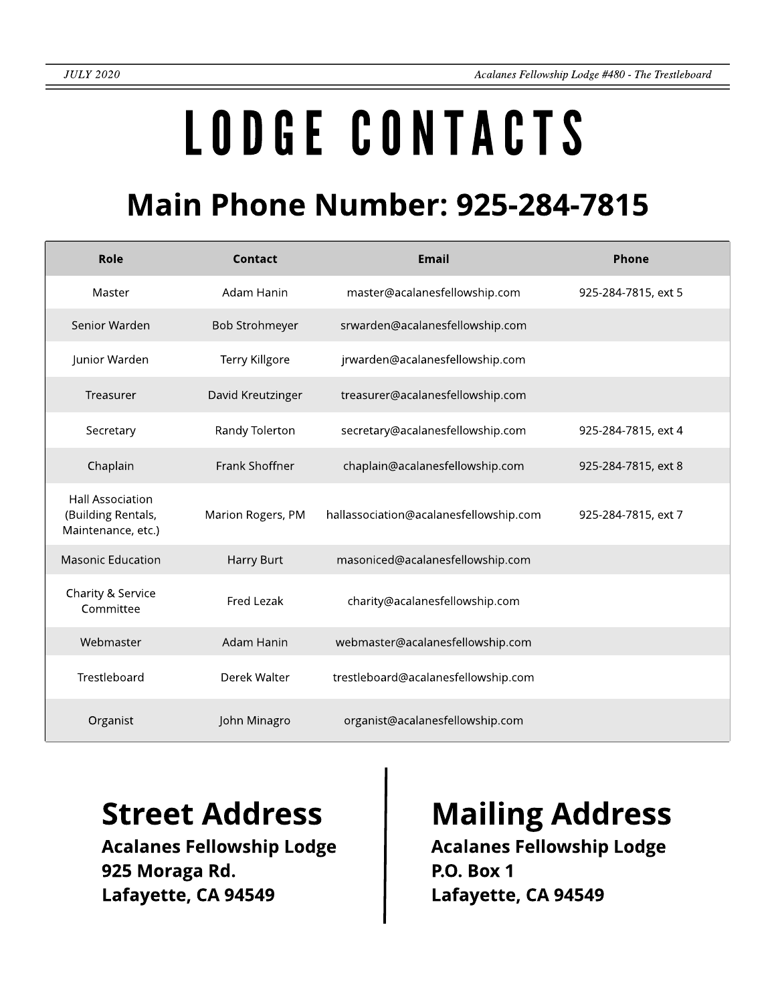# LODGECONTACTS

### **Main Phone Number: 925-284-7815**

| Role                                                                | Contact               | <b>Email</b>                           | Phone               |
|---------------------------------------------------------------------|-----------------------|----------------------------------------|---------------------|
| Master                                                              | Adam Hanin            | master@acalanesfellowship.com          | 925-284-7815, ext 5 |
| Senior Warden                                                       | <b>Bob Strohmeyer</b> | srwarden@acalanesfellowship.com        |                     |
| Junior Warden                                                       | Terry Killgore        | jrwarden@acalanesfellowship.com        |                     |
| Treasurer                                                           | David Kreutzinger     | treasurer@acalanesfellowship.com       |                     |
| Secretary                                                           | Randy Tolerton        | secretary@acalanesfellowship.com       | 925-284-7815, ext 4 |
| Chaplain                                                            | Frank Shoffner        | chaplain@acalanesfellowship.com        | 925-284-7815, ext 8 |
| <b>Hall Association</b><br>(Building Rentals,<br>Maintenance, etc.) | Marion Rogers, PM     | hallassociation@acalanesfellowship.com | 925-284-7815, ext 7 |
| <b>Masonic Education</b>                                            | Harry Burt            | masoniced@acalanesfellowship.com       |                     |
| Charity & Service<br>Committee                                      | Fred Lezak            | charity@acalanesfellowship.com         |                     |
| Webmaster                                                           | Adam Hanin            | webmaster@acalanesfellowship.com       |                     |
| Trestleboard                                                        | Derek Walter          | trestleboard@acalanesfellowship.com    |                     |
| Organist                                                            | John Minagro          | organist@acalanesfellowship.com        |                     |

Acalanes Fellowship Lodge 925 Moraga Rd. Lafayette, CA 94549

### Street Address | Mailing Address

Acalanes Fellowship Lodge P.O. Box 1 Lafayette, CA 94549